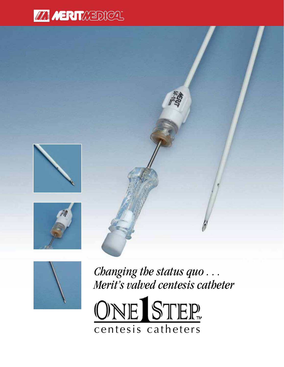









*Changing the status quo . . . Merit's valved centesis catheter*